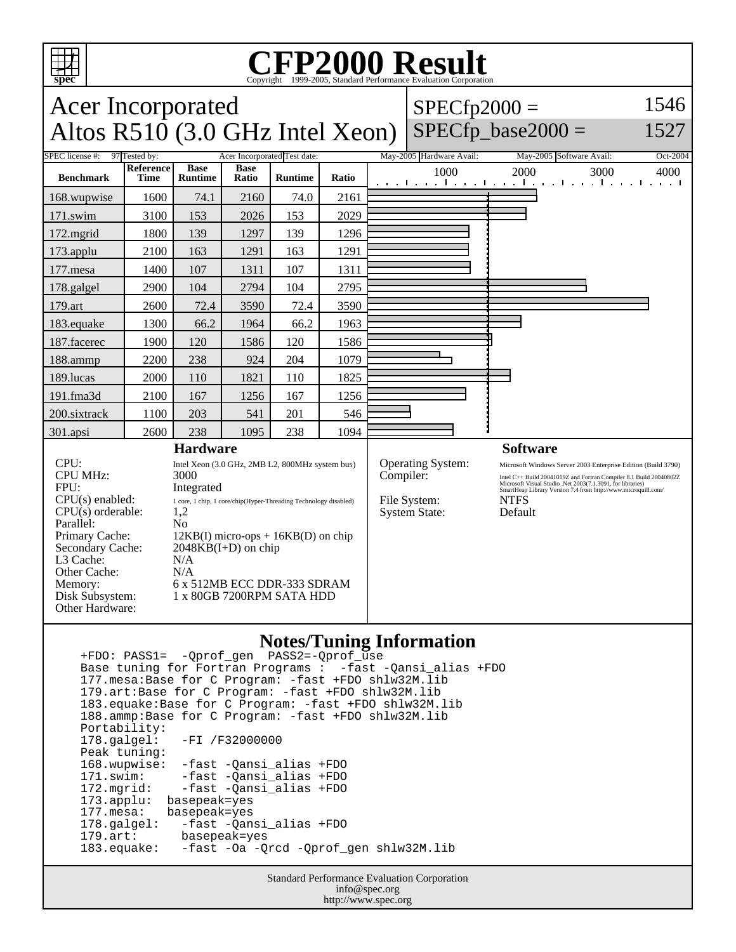

## **CFP2000 Result** Copyright ©1999-2005, Standard Performance Evaluation Corporation

| <b>Acer Incorporated</b>                                                                                                                                                                                     |                                                                                                                                                                                                                                                                                                                  |                               |                      |                                                |           |                                                                  | $SPECfp2000 =$                                                                                                                                                                                                                                                                               |                                          | 1546                                       |
|--------------------------------------------------------------------------------------------------------------------------------------------------------------------------------------------------------------|------------------------------------------------------------------------------------------------------------------------------------------------------------------------------------------------------------------------------------------------------------------------------------------------------------------|-------------------------------|----------------------|------------------------------------------------|-----------|------------------------------------------------------------------|----------------------------------------------------------------------------------------------------------------------------------------------------------------------------------------------------------------------------------------------------------------------------------------------|------------------------------------------|--------------------------------------------|
| Altos R510 (3.0 GHz Intel Xeon)                                                                                                                                                                              |                                                                                                                                                                                                                                                                                                                  |                               |                      |                                                |           |                                                                  | $SPECfp$ base2000 =                                                                                                                                                                                                                                                                          | 1527                                     |                                            |
| SPEC license #:<br><b>Benchmark</b>                                                                                                                                                                          | 97 Tested by:<br>Reference<br>Time                                                                                                                                                                                                                                                                               | <b>Base</b><br><b>Runtime</b> | <b>Base</b><br>Ratio | Acer Incorporated Test date:<br><b>Runtime</b> | Ratio     |                                                                  | May-2005 Hardware Avail:<br>1000                                                                                                                                                                                                                                                             | May-2005 Software Avail:<br>2000<br>3000 | Oct-2004<br>4000<br>diama a<br>and a state |
| 168.wupwise                                                                                                                                                                                                  | 1600                                                                                                                                                                                                                                                                                                             | 74.1                          | 2160                 | 74.0                                           | 2161      |                                                                  |                                                                                                                                                                                                                                                                                              |                                          |                                            |
| 171.swim                                                                                                                                                                                                     | 3100                                                                                                                                                                                                                                                                                                             | 153                           | 2026                 | 153                                            | 2029      |                                                                  |                                                                                                                                                                                                                                                                                              |                                          |                                            |
| 172.mgrid                                                                                                                                                                                                    | 1800                                                                                                                                                                                                                                                                                                             | 139                           | 1297                 | 139                                            | 1296      |                                                                  |                                                                                                                                                                                                                                                                                              |                                          |                                            |
| 173.applu                                                                                                                                                                                                    | 2100                                                                                                                                                                                                                                                                                                             | 163                           | 1291                 | 163                                            | 1291      |                                                                  |                                                                                                                                                                                                                                                                                              |                                          |                                            |
| 177.mesa                                                                                                                                                                                                     | 1400                                                                                                                                                                                                                                                                                                             | 107                           | 1311                 | 107                                            | 1311      |                                                                  |                                                                                                                                                                                                                                                                                              |                                          |                                            |
| 178.galgel                                                                                                                                                                                                   | 2900                                                                                                                                                                                                                                                                                                             | 104                           | 2794                 | 104                                            | 2795      |                                                                  |                                                                                                                                                                                                                                                                                              |                                          |                                            |
| 179.art                                                                                                                                                                                                      | 2600                                                                                                                                                                                                                                                                                                             | 72.4                          | 3590                 | 72.4                                           | 3590      |                                                                  |                                                                                                                                                                                                                                                                                              |                                          |                                            |
| 183.equake                                                                                                                                                                                                   | 1300                                                                                                                                                                                                                                                                                                             | 66.2                          | 1964                 | 66.2                                           | 1963      |                                                                  |                                                                                                                                                                                                                                                                                              |                                          |                                            |
| 187.facerec                                                                                                                                                                                                  | 1900                                                                                                                                                                                                                                                                                                             | 120                           | 1586                 | 120                                            | 1586      |                                                                  |                                                                                                                                                                                                                                                                                              |                                          |                                            |
| 188.ammp                                                                                                                                                                                                     | 2200                                                                                                                                                                                                                                                                                                             | 238                           | 924                  | 204                                            | 1079      |                                                                  |                                                                                                                                                                                                                                                                                              |                                          |                                            |
| 189.lucas                                                                                                                                                                                                    | 2000                                                                                                                                                                                                                                                                                                             | 110                           | 1821                 | 110                                            | 1825      |                                                                  |                                                                                                                                                                                                                                                                                              |                                          |                                            |
| 191.fma3d                                                                                                                                                                                                    | 2100                                                                                                                                                                                                                                                                                                             | 167                           | 1256                 | 167                                            | 1256      |                                                                  |                                                                                                                                                                                                                                                                                              |                                          |                                            |
| 200.sixtrack                                                                                                                                                                                                 | 1100                                                                                                                                                                                                                                                                                                             | 203                           | 541                  | 201                                            | 546       |                                                                  |                                                                                                                                                                                                                                                                                              |                                          |                                            |
| 301.apsi                                                                                                                                                                                                     | 2600                                                                                                                                                                                                                                                                                                             | 238                           | 1095                 | 238                                            | 1094      |                                                                  |                                                                                                                                                                                                                                                                                              |                                          |                                            |
| <b>Hardware</b>                                                                                                                                                                                              |                                                                                                                                                                                                                                                                                                                  |                               |                      |                                                |           |                                                                  |                                                                                                                                                                                                                                                                                              | <b>Software</b>                          |                                            |
| CPU:<br><b>CPU MHz:</b><br>FPU:<br>$CPU(s)$ enabled:<br>$CPU(s)$ orderable:<br>Parallel:<br>Primary Cache:<br>Secondary Cache:<br>L3 Cache:<br>Other Cache:<br>Memory:<br>Disk Subsystem:<br>Other Hardware: | Intel Xeon (3.0 GHz, 2MB L2, 800MHz system bus)<br>3000<br>Integrated<br>1 core, 1 chip, 1 core/chip(Hyper-Threading Technology disabled)<br>1,2<br>N <sub>0</sub><br>$12KB(I)$ micro-ops + $16KB(D)$ on chip<br>$2048KB(I+D)$ on chip<br>N/A<br>N/A<br>6 x 512MB ECC DDR-333 SDRAM<br>1 x 80GB 7200RPM SATA HDD |                               |                      |                                                | Compiler: | <b>Operating System:</b><br>File System:<br><b>System State:</b> | Microsoft Windows Server 2003 Enterprise Edition (Build 3790)<br>Intel C++ Build 20041019Z and Fortran Compiler 8.1 Build 20040802Z<br>Microsoft Visual Studio .Net 2003(7.1.3091, for libraries)<br>SmartHeap Library Version 7.4 from http://www.microquill.com/<br><b>NTFS</b><br>Default |                                          |                                            |

## **Notes/Tuning Information**

 +FDO: PASS1= -Qprof\_gen PASS2=-Qprof\_use Base tuning for Fortran Programs : -fast -Qansi\_alias +FDO 177.mesa:Base for C Program: -fast +FDO shlw32M.lib 179.art:Base for C Program: -fast +FDO shlw32M.lib 183.equake:Base for C Program: -fast +FDO shlw32M.lib 188.ammp:Base for C Program: -fast +FDO shlw32M.lib Portability:<br>178.galgel: -FI /F32000000 Peak tuning: 168.wupwise: -fast -Qansi\_alias +FDO 171.swim: -fast -Qansi\_alias +FDO 172.mgrid: -fast -Qansi\_alias +FDO 173.applu: basepeak=yes<br>177.mesa: basepeak=yes 177.mesa: basepeak=yes<br>178.galgel: -fast -Qan -fast -Qansi\_alias +FDO 179.art: basepeak=yes<br>183.equake: -fast -Oa -Q -fast -Oa -Qrcd -Qprof\_gen shlw32M.lib

> Standard Performance Evaluation Corporation info@spec.org http://www.spec.org